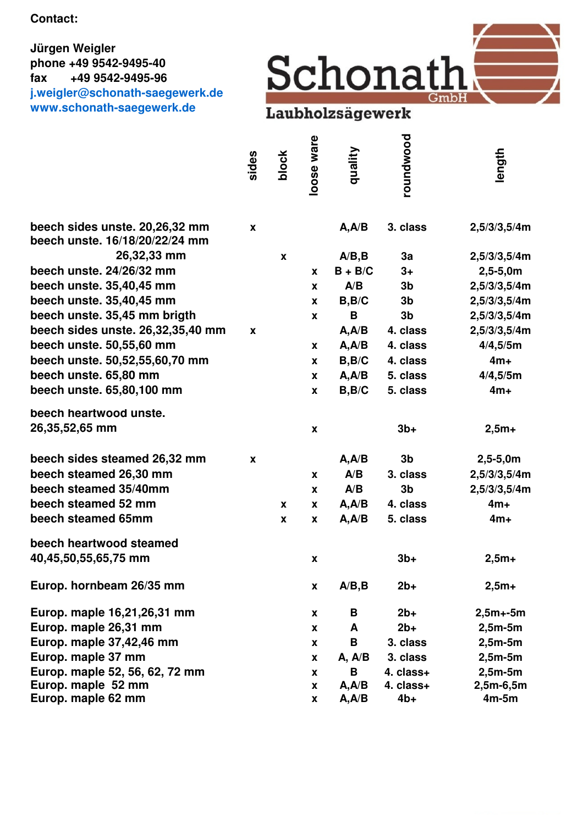**Contact:**

## **Jürgen Weigler phone +49 9542-9495-40 fax +49 9542-9495-96 j.weigler@schonath-saegewerk.de www.schonath-saegewerk.de**



|                                   | sides | block                     | loose ware         | quality   | roundwood      | length       |
|-----------------------------------|-------|---------------------------|--------------------|-----------|----------------|--------------|
| beech sides unste. 20,26,32 mm    | X     |                           |                    | A, A/B    | 3. class       | 2,5/3/3,5/4m |
| beech unste. 16/18/20/22/24 mm    |       |                           |                    |           |                |              |
| 26,32,33 mm                       |       | $\boldsymbol{\mathsf{x}}$ |                    | A/B, B    | 3a             | 2,5/3/3,5/4m |
| beech unste. 24/26/32 mm          |       |                           | $\boldsymbol{x}$   | $B + B/C$ | $3+$           | $2,5-5,0m$   |
| beech unste. 35,40,45 mm          |       |                           | X                  | A/B       | 3 <sub>b</sub> | 2,5/3/3,5/4m |
| beech unste. 35,40,45 mm          |       |                           | X                  | B, B/C    | 3 <sub>b</sub> | 2,5/3/3,5/4m |
| beech unste. 35,45 mm brigth      |       |                           | X                  | B         | 3 <sub>b</sub> | 2,5/3/3,5/4m |
| beech sides unste. 26,32,35,40 mm | X     |                           |                    | A, A/B    | 4. class       | 2,5/3/3,5/4m |
| beech unste. 50,55,60 mm          |       |                           | X                  | A, A/B    | 4. class       | 4/4,5/5m     |
| beech unste. 50,52,55,60,70 mm    |       |                           | $\mathbf{x}$       | B, B/C    | 4. class       | $4m+$        |
| beech unste. 65,80 mm             |       |                           | <b>X</b>           | A, A/B    | 5. class       | 4/4,5/5m     |
| beech unste. 65,80,100 mm         |       |                           | X                  | B, B/C    | 5. class       | $4m+$        |
| beech heartwood unste.            |       |                           |                    |           |                |              |
| 26,35,52,65 mm                    |       |                           | X                  |           | $3b+$          | $2,5m+$      |
| beech sides steamed 26,32 mm      | X     |                           |                    | A, A/B    | 3 <sub>b</sub> | $2,5-5,0m$   |
| beech steamed 26,30 mm            |       |                           | X                  | A/B       | 3. class       | 2,5/3/3,5/4m |
| beech steamed 35/40mm             |       |                           | X                  | A/B       | 3 <sub>b</sub> | 2,5/3/3,5/4m |
| beech steamed 52 mm               |       | X                         | X                  | A, A/B    | 4. class       | $4m+$        |
| beech steamed 65mm                |       | X                         | X                  | A, A/B    | 5. class       | $4m+$        |
| beech heartwood steamed           |       |                           |                    |           |                |              |
| 40,45,50,55,65,75 mm              |       |                           | $\pmb{\mathsf{x}}$ |           | $3b+$          | $2,5m+$      |
| Europ. hornbeam 26/35 mm          |       |                           | X                  | A/B, B    | $2b+$          | $2,5m+$      |
| Europ. maple 16,21,26,31 mm       |       |                           | X                  | В         | $2b+$          | $2,5m+5m$    |
| Europ. maple 26,31 mm             |       |                           | $\boldsymbol{x}$   | A         | $2b+$          | $2,5m-5m$    |
| Europ. maple 37,42,46 mm          |       |                           | X                  | B         | 3. class       | $2,5m-5m$    |
| Europ. maple 37 mm                |       |                           | X                  | A, A/B    | 3. class       | $2,5m-5m$    |
| Europ. maple 52, 56, 62, 72 mm    |       |                           | X                  | B         | 4. class+      | $2,5m-5m$    |
| Europ. maple 52 mm                |       |                           | X                  | A, A/B    | 4. class+      | $2,5m-6,5m$  |
| Europ. maple 62 mm                |       |                           | X                  | A, A/B    | $4b+$          | $4m-5m$      |